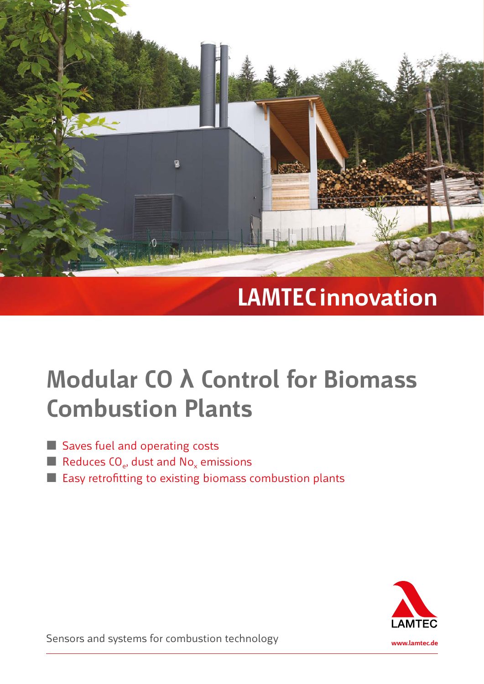

# **LAMTEC innovation**

# **Modular CO λ Control for Biomass Combustion Plants**

- Saves fuel and operating costs
- Reduces  $CO<sub>e</sub>$ , dust and  $NO<sub>x</sub>$  emissions
- Easy retrofitting to existing biomass combustion plants



Sensors and systems for combustion technology **www.lamtec.de**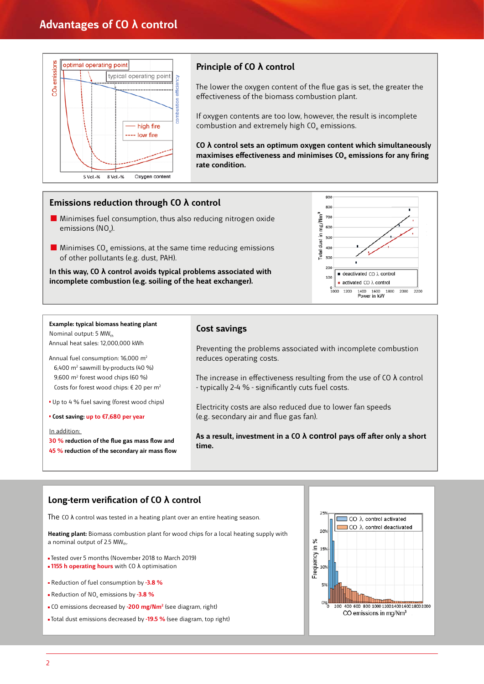

# **Principle of CO λ control**

 The lower the oxygen content of the flue gas is set, the greater the effectiveness of the biomass combustion plant.

 If oxygen contents are too low, however, the result is incomplete combustion and extremely high CO<sub>e</sub> emissions.

 **CO λ control sets an optimum oxygen content which simultaneously**  maximises effectiveness and minimises CO<sub>p</sub> emissions for any firing **rate condition.**

## **Emissions reduction through CO λ control**

- **Minimises fuel consumption, thus also reducing nitrogen oxide** emissions (NO.).
- $\blacksquare$  Minimises CO<sub>e</sub> emissions, at the same time reducing emissions of other pollutants (e.g. dust, PAH).

 **In this way, CO λ control avoids typical problems associated with incomplete combustion (e.g. soiling of the heat exchanger).**



### **Example: typical biomass heating plant**  Nominal output:  $5$  MW $_{th}$

Annual heat sales: 12,000,000 kWh

Annual fuel consumption: 16,000 m2 6,400  $m^2$  sawmill by-products (40 %) 9,600 m2 forest wood chips (60 %) Costs for forest wood chips: € 20 per m2

Up to 4 % fuel saving (forest wood chips)

**Cost saving: up to €7,680 per year**

### In addition:

**30 % reduction of the flue gas mass flow and 45 % reduction of the secondary air mass flow**

### **Cost savings**

 Preventing the problems associated with incomplete combustion reduces operating costs.

The increase in effectiveness resulting from the use of CO  $\lambda$  control - typically 2-4 % - significantly cuts fuel costs.

 Electricity costs are also reduced due to lower fan speeds (e.g. secondary air and flue gas fan).

 **As a result, investment in a CO λ control pays off after only a short time.**

### **Long-term verification of CO λ control**

The CO λ control was tested in a heating plant over an entire heating season.

**Heating plant:** Biomass combustion plant for wood chips for a local heating supply with a nominal output of 2.5  $MW_{th}$ .

Tested over 5 months (November 2018 to March 2019)  **1155 h operating hours** with CO λ optimisation

- Reduction of fuel consumption by **-3.8 %**
- Reduction of NOx emissions by **-3.8 %**
- CO emissions decreased by **-200 mg/Nm<sup>2</sup>** (see diagram, right)

Total dust emissions decreased by **-19.5 %** (see diagram, top right)

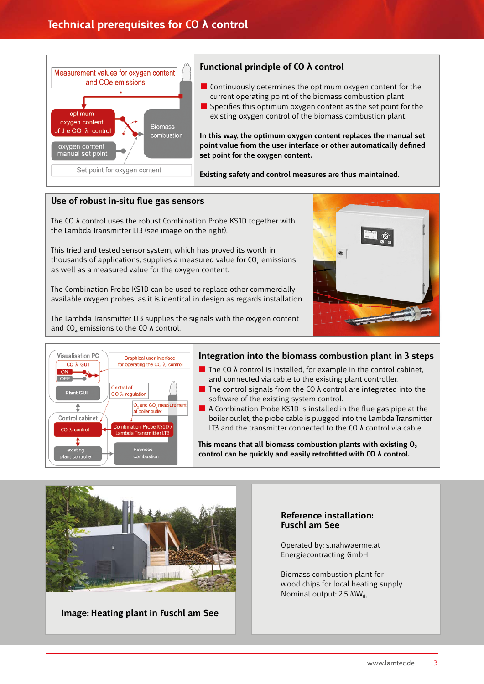

# **Functional principle of CO λ control**

- $\blacksquare$  Continuously determines the optimum oxygen content for the current operating point of the biomass combustion plant
- $\blacksquare$  Specifies this optimum oxygen content as the set point for the existing oxygen control of the biomass combustion plant.

 **In this way, the optimum oxygen content replaces the manual set point value from the user interface or other automatically defined set point for the oxygen content.**

**Existing safety and control measures are thus maintained.**

## **Use of robust in-situ flue gas sensors**

The CO  $\lambda$  control uses the robust Combination Probe KS1D together with the Lambda Transmitter LT3 (see image on the right).

**tog<br>wor<br>CO<sub>e</sub><br>cor<br>cor<br>ards<br>bxyg** 11 This tried and tested sensor system, which has proved its worth in thousands of applications, supplies a measured value for CO<sub>e</sub> emissions as well as a measured value for the oxygen content.

The Combination Probe KS1D can be used to replace other commercially 7 available oxygen probes, as it is identical in design as regards installation.

 The Lambda Transmitter LT3 supplies the signals with the oxygen content and CO<sub>c</sub> emissions to the CO  $\lambda$  control.





# **Integration into the biomass combustion plant in 3 steps**

- The CO  $\lambda$  control is installed, for example in the control cabinet, and connected via cable to the existing plant controller.
- The control signals from the CO  $\lambda$  control are integrated into the software of the existing system control.
- $\blacksquare$  A Combination Probe KS1D is installed in the flue gas pipe at the boiler outlet, the probe cable is plugged into the Lambda Transmitter LT3 and the transmitter connected to the CO  $\lambda$  control via cable.

This means that all biomass combustion plants with existing O<sub>2</sub> **control can be quickly and easily retrofitted with CO λ control.**



**Image: Heating plant in Fuschl am See**

# **Reference installation: Fuschl am See**

Operated by: s.nahwaerme.at Energiecontracting GmbH

 Biomass combustion plant for wood chips for local heating supply Nominal output:  $2.5$  MW<sub>th</sub>